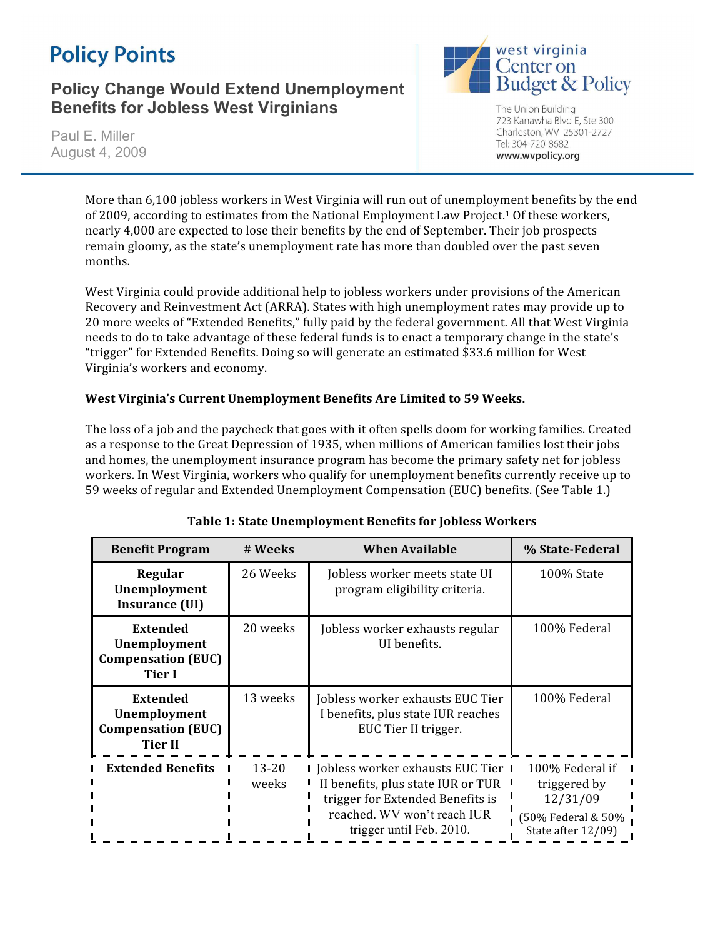# **Policy Points**

## **Policy Change Would Extend Unemployment Benefits for Jobless West Virginians**

Paul E. Miller August 4, 2009



The Union Building 723 Kanawha Blvd E, Ste 300 Charleston, WV 25301-2727 Tel: 304-720-8682 www.wvpolicy.org

More than 6,100 jobless workers in West Virginia will run out of unemployment benefits by the end of 2009, according to estimates from the National Employment Law Project.<sup>1</sup> Of these workers, nearly
4,000
are
expected
to
lose
their
benefits
by
the
end
of
September.
Their
job
prospects remain
gloomy,
as
the
state's
unemployment
rate
has
more
than
doubled
over
the
past
seven months.

West Virginia could provide additional help to jobless workers under provisions of the American Recovery and Reinvestment Act (ARRA). States with high unemployment rates may provide up to 20 more weeks of "Extended Benefits," fully paid by the federal government. All that West Virginia needs
to
do
to
take
advantage
of
these
federal
funds
is
to
enact
a
temporary
change
in
the
state's "trigger"
for
Extended
Benefits.
Doing
so
will
generate
an
estimated
\$33.6
million
for
West Virginia's
workers
and
economy.

### West Virginia's Current Unemployment Benefits Are Limited to 59 Weeks.

The loss of a job and the paycheck that goes with it often spells doom for working families. Created as
a
response
to
the
Great
Depression
of
1935,
when
millions
of
American
families
lost
their
jobs and
homes,
the
unemployment
insurance
program
has
become
the
primary
safety
net
for
jobless workers. In West Virginia, workers who qualify for unemployment benefits currently receive up to 59
weeks
of
regular
and
Extended
Unemployment
Compensation
(EUC)
benefits.
(See
Table
1.)

| <b>Benefit Program</b>                                                         | # Weeks            | <b>When Available</b>                                                                                                                                                     | % State-Federal                                                                         |
|--------------------------------------------------------------------------------|--------------------|---------------------------------------------------------------------------------------------------------------------------------------------------------------------------|-----------------------------------------------------------------------------------------|
| Regular<br>Unemployment<br>Insurance (UI)                                      | 26 Weeks           | Jobless worker meets state UI<br>program eligibility criteria.                                                                                                            | 100% State                                                                              |
| <b>Extended</b><br>Unemployment<br><b>Compensation (EUC)</b><br><b>Tier I</b>  | 20 weeks           | Jobless worker exhausts regular<br>UI benefits.                                                                                                                           | 100% Federal                                                                            |
| <b>Extended</b><br>Unemployment<br><b>Compensation (EUC)</b><br><b>Tier II</b> | 13 weeks           | Jobless worker exhausts EUC Tier<br>I benefits, plus state IUR reaches<br>EUC Tier II trigger.                                                                            | 100% Federal                                                                            |
| <b>Extended Benefits</b>                                                       | $13 - 20$<br>weeks | I Jobless worker exhausts EUC Tier I<br>II benefits, plus state IUR or TUR<br>trigger for Extended Benefits is<br>reached. WV won't reach IUR<br>trigger until Feb. 2010. | 100% Federal if<br>triggered by<br>12/31/09<br>(50% Federal & 50%<br>State after 12/09) |

### **Table
1:
State
Unemployment
Benefits
for
Jobless
Workers**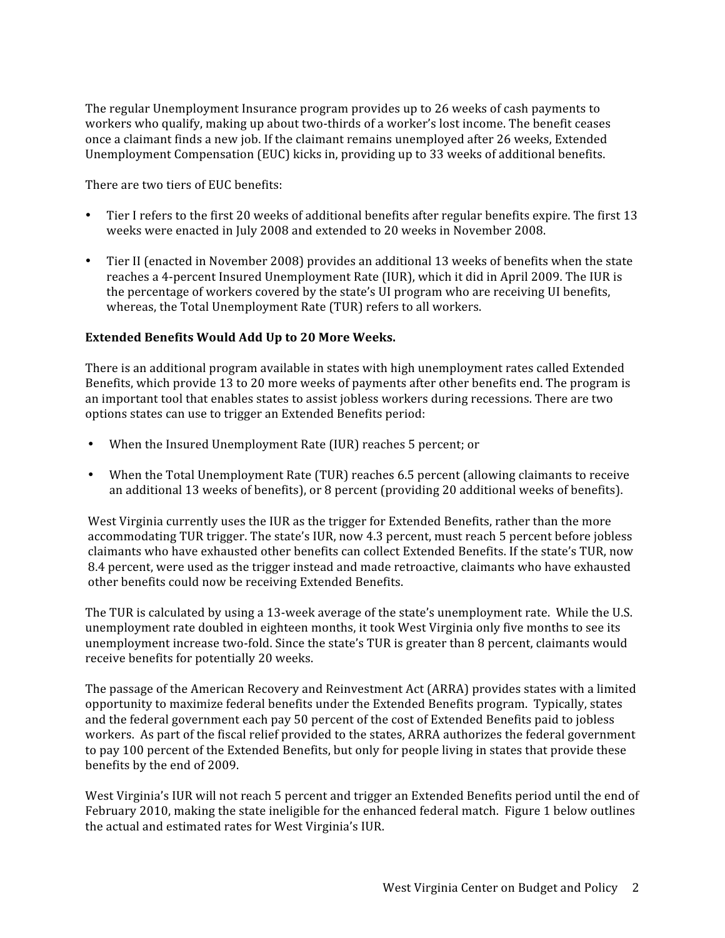The
regular
Unemployment
Insurance
program
provides
up
to
26
weeks
of
cash
payments
to workers who qualify, making up about two-thirds of a worker's lost income. The benefit ceases once
a
claimant
finds
a
new
job.
If
the
claimant
remains
unemployed
after
26
weeks,
Extended Unemployment Compensation (EUC) kicks in, providing up to 33 weeks of additional benefits.

There
are
two
tiers
of
EUC
benefits:

- Tier I refers to the first 20 weeks of additional benefits after regular benefits expire. The first 13 weeks were enacted in July 2008 and extended to 20 weeks in November 2008.
- Tier II (enacted in November 2008) provides an additional 13 weeks of benefits when the state reaches a 4-percent Insured Unemployment Rate (IUR), which it did in April 2009. The IUR is the percentage of workers covered by the state's UI program who are receiving UI benefits, whereas, the Total Unemployment Rate (TUR) refers to all workers.

### **Extended
Benefits
Would
Add
Up
to
20
More
Weeks.**

There
is
an
additional
program
available
in
states
with
high
unemployment
rates
called
Extended Benefits, which provide 13 to 20 more weeks of payments after other benefits end. The program is an
important
tool
that
enables
states
to
assist
jobless
workers
during
recessions. There
are
two options
states
can
use
to
trigger
an
Extended
Benefits
period:

- When the Insured Unemployment Rate (IUR) reaches 5 percent; or
- When the Total Unemployment Rate (TUR) reaches 6.5 percent (allowing claimants to receive an additional 13 weeks of benefits), or 8 percent (providing 20 additional weeks of benefits).

West Virginia currently uses the IUR as the trigger for Extended Benefits, rather than the more accommodating TUR trigger. The state's IUR, now 4.3 percent, must reach 5 percent before jobless claimants
who
have
exhausted
other
benefits
can
collect
Extended
Benefits.
If
the
state's
TUR, now 8.4 percent, were used as the trigger instead and made retroactive, claimants who have exhausted other
benefits
could
now
be
receiving
Extended
Benefits.

The TUR is calculated by using a 13-week average of the state's unemployment rate. While the U.S. unemployment rate doubled in eighteen months, it took West Virginia only five months to see its unemployment increase two-fold. Since the state's TUR is greater than 8 percent, claimants would receive
benefits
for
potentially
20
weeks.

The
passage
of
the
American
Recovery
and
Reinvestment
Act
(ARRA)
provides
states
with
a
limited opportunity
to
maximize
federal
benefits
under
the
Extended
Benefits
program.

Typically,
states and the federal government each pay 50 percent of the cost of Extended Benefits paid to jobless workers. As part of the fiscal relief provided to the states, ARRA authorizes the federal government to pay 100 percent of the Extended Benefits, but only for people living in states that provide these benefits
by
the
end
of
2009.

West Virginia's IUR will not reach 5 percent and trigger an Extended Benefits period until the end of February 2010, making the state ineligible for the enhanced federal match. Figure 1 below outlines the
actual
and
estimated
rates
for
West
Virginia's
IUR.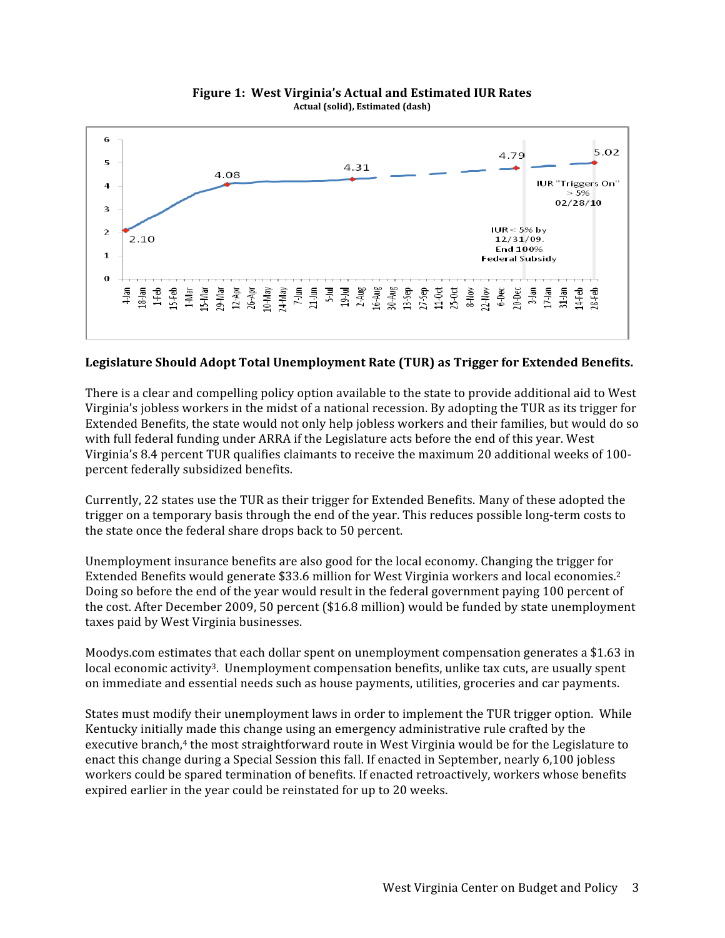

#### **Figure
1:

West
Virginia's
Actual
and
Estimated
IUR
Rates Actual
(solid),
Estimated
(dash)**

#### Legislature Should Adopt Total Unemployment Rate (TUR) as Trigger for Extended Benefits.

There is a clear and compelling policy option available to the state to provide additional aid to West Virginia's jobless workers in the midst of a national recession. By adopting the TUR as its trigger for Extended Benefits, the state would not only help jobless workers and their families, but would do so with full federal funding under ARRA if the Legislature acts before the end of this year. West Virginia's 8.4 percent TUR qualifies claimants to receive the maximum 20 additional weeks of 100percent
federally
subsidized
benefits.

Currently,
22
states
use
the
TUR
as
their
trigger
for
Extended
Benefits. Many
of
these
adopted
the trigger
on
a
temporary
basis
through
the
end
of
the
year.
This
reduces
possible
long‐term
costs
to the
state
once
the
federal
share
drops
back
to
50
percent.

Unemployment insurance benefits are also good for the local economy. Changing the trigger for Extended Benefits would generate \$33.6 million for West Virginia workers and local economies.<sup>2</sup> Doing so before the end of the year would result in the federal government paying 100 percent of the
cost.
After
December
2009,
50
percent
(\$16.8
million)
would
be
funded
by
state
unemployment taxes
paid
by
West
Virginia
businesses.

Moodys.com estimates that each dollar spent on unemployment compensation generates a \$1.63 in local economic activity<sup>3</sup>. Unemployment compensation benefits, unlike tax cuts, are usually spent on
immediate
and
essential
needs
such
as
house
payments,
utilities,
groceries
and
car
payments.

States must modify their unemployment laws in order to implement the TUR trigger option. While Kentucky
initially
made
this
change
using
an
emergency
administrative
rule
crafted
by
the executive branch,<sup>4</sup> the most straightforward route in West Virginia would be for the Legislature to enact
this
change
during
a
Special
Session
this
fall.
If
enacted
in
September,
nearly
6,100
jobless workers could be spared termination of benefits. If enacted retroactively, workers whose benefits expired
earlier
in
the
year
could
be
reinstated
for
up
to
20
weeks.